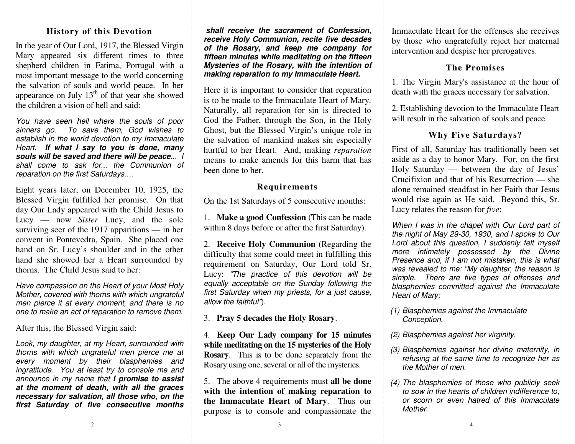#### **Histo r y o f this D e v otio n**

In th e y e ar of O ur L ord, 1917, th e Blesse d Virgin Mary appeared six different times to three sh e p h erd c hildre n in F atim a, P ortu g al with a most imp orta nt messa g e to th e world c o n c ernin g the salvation of souls and world peace. In her appearance on July  $13<sup>th</sup>$  of that year she showed the children a vision of hell and said:

*You have seen hell where the souls of poor sinners g o. Tos ave th em, G odwis hes toestablis h in th eworlddevotion to my Im mac ulateHeart. If what I say to yo u is done, m any* souls will be saved and there will be peace... *shall come to ask for... theCommunionofrep arationon th e first Saturdays.…*

Eight years later, on December 10, 1925, the Blesse d Virgin fulfille d h er pro mise. O n th at d a y O ur L a d y a p p e are d with th e C hild Jesus to Lucy — now *Sister* Lucy, and the sole surviving seer of the 1917 apparitions — in her convent in Pontevedra, Spain. She placed one hand on Sr. Lucy's shoulder and in the other hand she showed her a Heart surrounded by thorns. The Child Jesus said to her:

*Havecomp assionon th eHeart of yo ur Most Holy Mother, c overedwith th ornswithwhichungrateful menpierc e it at e very moment, <sup>a</sup> nd th ere is noone to make an act of reparation to remove them.* 

After this, the Blessed Virgin said:

*L o o k, my da ug hter, at my He art, <sup>s</sup> urro u n de d with th orn s with whic h u n grateful <sup>m</sup> e n pierc e me at every moment by th eir blasp hemiesandingratitude.* You at least try to console me and *announce in my name th at I pro mise toassistat the moment of death, with all the graces n e c e s s ary for <sup>s</sup> alvatio n, all th o s e wh o, o n th e first Saturday of five consecutive months* 

shall receive the sacrament of Confession, *re c eive Holy Co mmu nio n, re cite five de c a de s of the Rosary, and keep me company for fifteenminuteswhilemeditating on th e fifte en Mysterie s of the Ros ary, with th e inte ntionof making rep aration to my Im maculateHeart.*

Here it is important to consider that reparation is to be made to the Immaculate Heart of Mary. N aturally, all re p aratio n for sin is dire cte d to God th e Father, thro ug h th e Son, in th e Holy G h ost, b ut th e Blesse d Virgin's <sup>u</sup> niq u e role in the salvation of mankind makes sin especially hurtful to her Heart. And, making *reparation* means to make amends for this harm that has been done to her.

#### **Re q uir e me nts**

On the 1st Saturdays of 5 consecutive months:

1. **Makeag oodConfession** (T his canbemadewithin 8 days before or after the first Saturday).

2. **Receive Holy Communion** (Regarding the diffic ulty th at so m e c o uld m e et in fulfillin g this re q uire me nt o n S aturd a y, O ur L ord told Sr. Lucy: *"Th epra cticeof thisdevotionwill beeq ually accepta bleon th eSunday follo wing th efirst S aturday wh e n my prie sts, for <sup>a</sup> ju st c a u s e, allo w th e faithful"*).

3. **P r a y 5 d e c a d es th e H oly R osa r y**.

4. **Ke e p Ou r La d y c o mp a n y fo r 1 5 min utes w hile me ditatin g o n th e 1 5 myste ries o f th e H oly Rosary**. This is to be done separately from the Rosary using one, several or all of the mysteries.

5. The above 4 requirements must **all be done with th e inte ntio n o f ma kin g r e p a r atio n to the Immaculate Heart of Mary.** Thus our purpose is to console and compassionate the Immaculate Heart for the offenses she receives by those who ungratefully reject her maternal intervention and despise her prerogatives.

### **ThePromises**

1. T h e Virgin M ary's assista n c e at th e h o ur of death with the graces necessary for salvation.

2. Establishing devotion to the Immaculate Heart will result in the salvation of souls and peace.

## **Wh y Fiv e S atu r d a ys?**

First of all, Saturday has traditionally been set aside as a day to honor Mary. For, on the first Holy Saturday — between the day of Jesus' Crucifixion and that of his Resurrection — she alone re mained ste adfast inher Faith th at Jesuswo uld rise a g ain as He said. Be y o n d this, Sr. Lucy relates th e re ason for *fiv e*:

*When I wa s in th ec hap el withOur Lordp art of thenig ht of May 29-30, 19 30, <sup>a</sup> nd I sp oke to Our Lordabout thisq uestion, I <sup>s</sup> uddenly felt mys elf more intimately possessed by the Divine Presenceand, if I <sup>a</sup> mnot mistaken, this is whatwa s re ve ale d to m e: "My da ug hter, th e re a s o n is simple. There are five types of offenses and bla sp h e mie s c o mmitte d a g ain st th e Imma c ulate H e art of Mary:*

- *(1) Bla sp h e mie s a g ain st th e Imma c ulate Conc eptio n.*
- *(2) Bla sp hemiesag ainst her virginity.*
- *(3) Bla sp hemiesag ainst her divinematernity, in refusing at thesame time to re cog nizeher astheMother of men.*
- *(4) Th e bla sp h e mie s of th o s e wh o p u blicly s e e k tosow in th eheartsof children in difference to, or scornor evenhatredof this ImmaculateMother.*